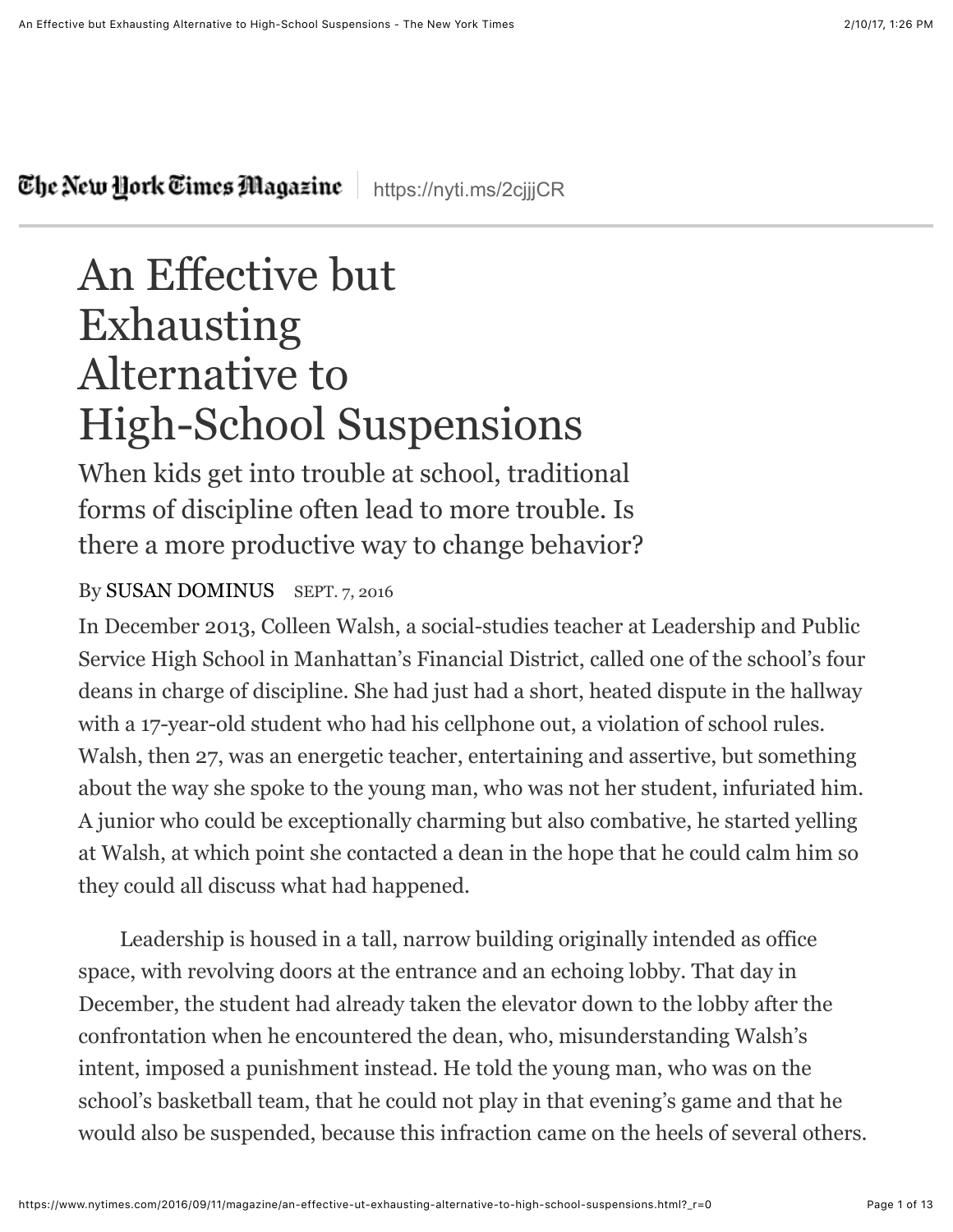## The New Hork Times Magazine  $\mid$  <https://nyti.ms/2cjjjCR>

## An Effective but Exhausting Alternative to High-School Suspensions

When kids get into trouble at school, traditional forms of discipline often lead to more trouble. Is there a more productive way to change behavior?

## By [SUSAN DOMINUS](https://www.nytimes.com/by/susan-dominus) SEPT. 7, 2016

In December 2013, Colleen Walsh, a social-studies teacher at Leadership and Public Service High School in Manhattan's Financial District, called one of the school's four deans in charge of discipline. She had just had a short, heated dispute in the hallway with a 17-year-old student who had his cellphone out, a violation of school rules. Walsh, then 27, was an energetic teacher, entertaining and assertive, but something about the way she spoke to the young man, who was not her student, infuriated him. A junior who could be exceptionally charming but also combative, he started yelling at Walsh, at which point she contacted a dean in the hope that he could calm him so they could all discuss what had happened.

Leadership is housed in a tall, narrow building originally intended as office space, with revolving doors at the entrance and an echoing lobby. That day in December, the student had already taken the elevator down to the lobby after the confrontation when he encountered the dean, who, misunderstanding Walsh's intent, imposed a punishment instead. He told the young man, who was on the school's basketball team, that he could not play in that evening's game and that he would also be suspended, because this infraction came on the heels of several others.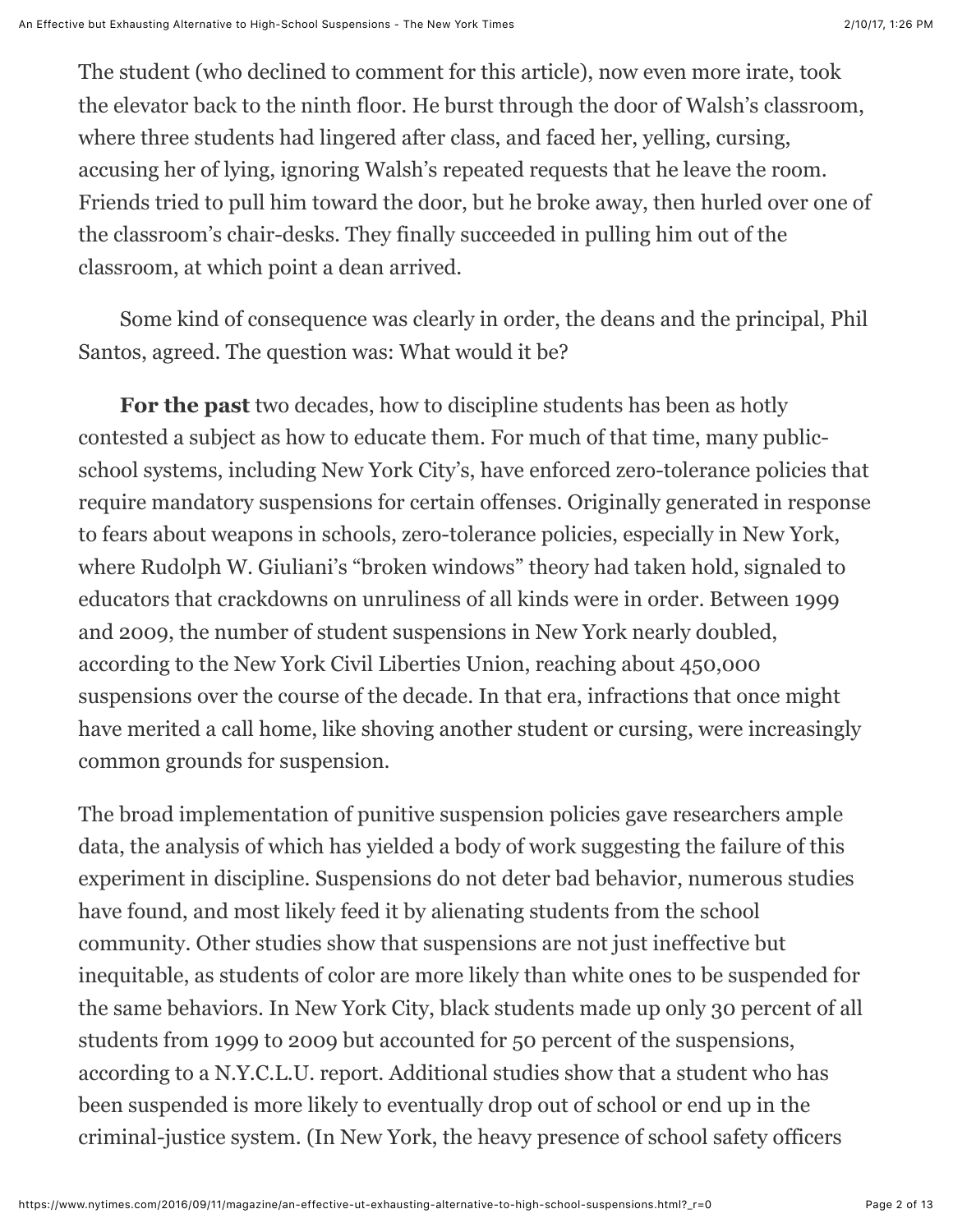The student (who declined to comment for this article), now even more irate, took the elevator back to the ninth floor. He burst through the door of Walsh's classroom, where three students had lingered after class, and faced her, yelling, cursing, accusing her of lying, ignoring Walsh's repeated requests that he leave the room. Friends tried to pull him toward the door, but he broke away, then hurled over one of the classroom's chair-desks. They finally succeeded in pulling him out of the classroom, at which point a dean arrived.

Some kind of consequence was clearly in order, the deans and the principal, Phil Santos, agreed. The question was: What would it be?

**For the past** two decades, how to discipline students has been as hotly contested a subject as how to educate them. For much of that time, many publicschool systems, including New York City's, have enforced zero-tolerance policies that require mandatory suspensions for certain offenses. Originally generated in response to fears about weapons in schools, zero-tolerance policies, especially in New York, where Rudolph W. Giuliani's "broken windows" theory had taken hold, signaled to educators that crackdowns on unruliness of all kinds were in order. Between 1999 and 2009, the number of student suspensions in New York nearly doubled, according to the New York Civil Liberties Union, reaching about 450,000 suspensions over the course of the decade. In that era, infractions that once might have merited a call home, like shoving another student or cursing, were increasingly common grounds for suspension.

The broad implementation of punitive suspension policies gave researchers ample data, the analysis of which has yielded a body of work suggesting the failure of this experiment in discipline. Suspensions do not deter bad behavior, numerous studies have found, and most likely feed it by alienating students from the school community. Other studies show that suspensions are not just ineffective but inequitable, as students of color are more likely than white ones to be suspended for the same behaviors. In New York City, black students made up only 30 percent of all students from 1999 to 2009 but accounted for 50 percent of the suspensions, according to a N.Y.C.L.U. report. Additional studies show that a student who has been suspended is more likely to eventually drop out of school or end up in the criminal-justice system. (In New York, the heavy presence of school safety officers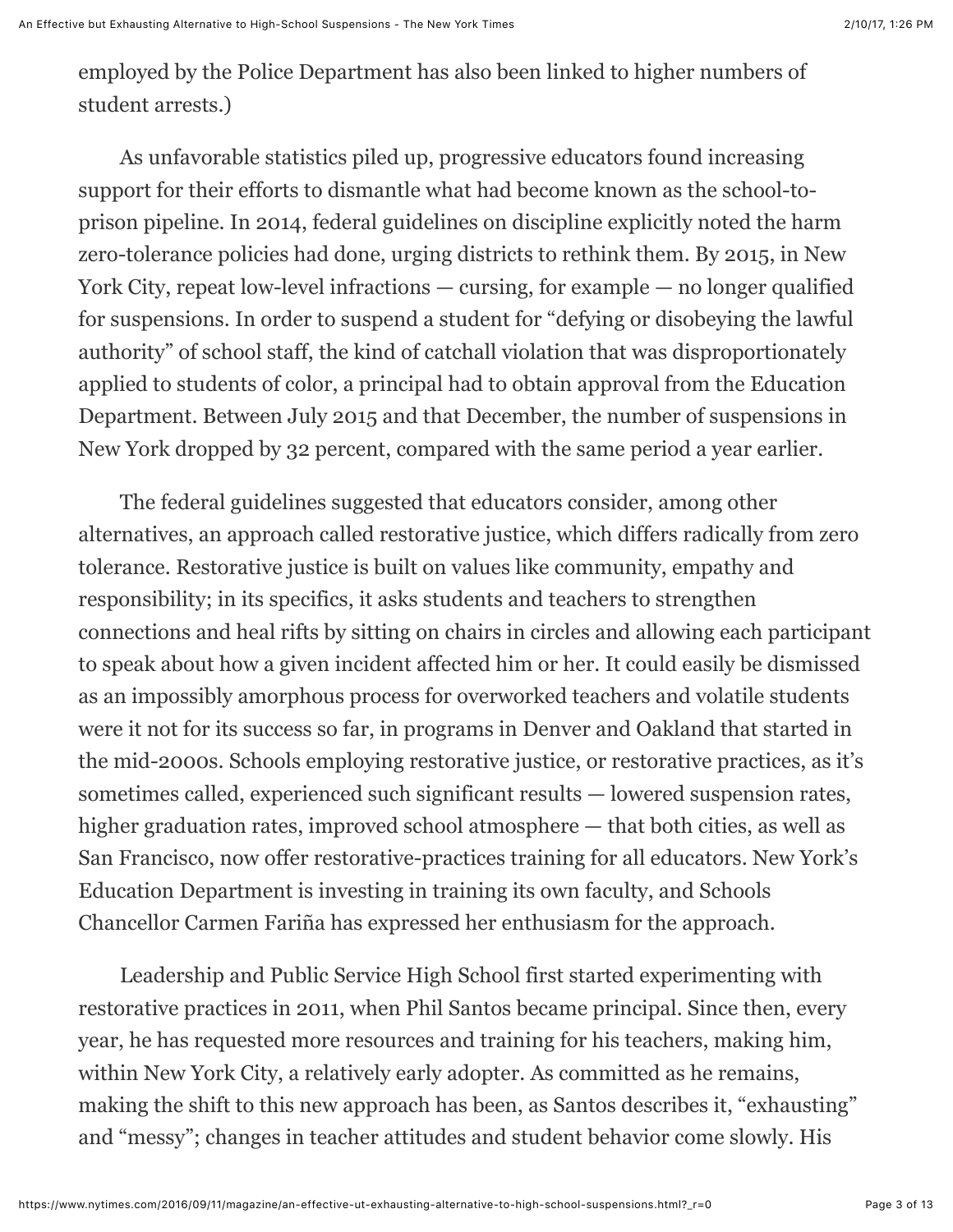employed by the Police Department has also been linked to higher numbers of student arrests.)

As unfavorable statistics piled up, progressive educators found increasing support for their efforts to dismantle what had become known as the school-toprison pipeline. In 2014, federal guidelines on discipline explicitly noted the harm zero-tolerance policies had done, urging districts to rethink them. By 2015, in New York City, repeat low-level infractions — cursing, for example — no longer qualified for suspensions. In order to suspend a student for "defying or disobeying the lawful authority" of school staff, the kind of catchall violation that was disproportionately applied to students of color, a principal had to obtain approval from the Education Department. Between July 2015 and that December, the number of suspensions in New York dropped by 32 percent, compared with the same period a year earlier.

The federal guidelines suggested that educators consider, among other alternatives, an approach called restorative justice, which differs radically from zero tolerance. Restorative justice is built on values like community, empathy and responsibility; in its specifics, it asks students and teachers to strengthen connections and heal rifts by sitting on chairs in circles and allowing each participant to speak about how a given incident affected him or her. It could easily be dismissed as an impossibly amorphous process for overworked teachers and volatile students were it not for its success so far, in programs in Denver and Oakland that started in the mid-2000s. Schools employing restorative justice, or restorative practices, as it's sometimes called, experienced such significant results — lowered suspension rates, higher graduation rates, improved school atmosphere — that both cities, as well as San Francisco, now offer restorative-practices training for all educators. New York's Education Department is investing in training its own faculty, and Schools Chancellor Carmen Fariña has expressed her enthusiasm for the approach.

Leadership and Public Service High School first started experimenting with restorative practices in 2011, when Phil Santos became principal. Since then, every year, he has requested more resources and training for his teachers, making him, within New York City, a relatively early adopter. As committed as he remains, making the shift to this new approach has been, as Santos describes it, "exhausting" and "messy"; changes in teacher attitudes and student behavior come slowly. His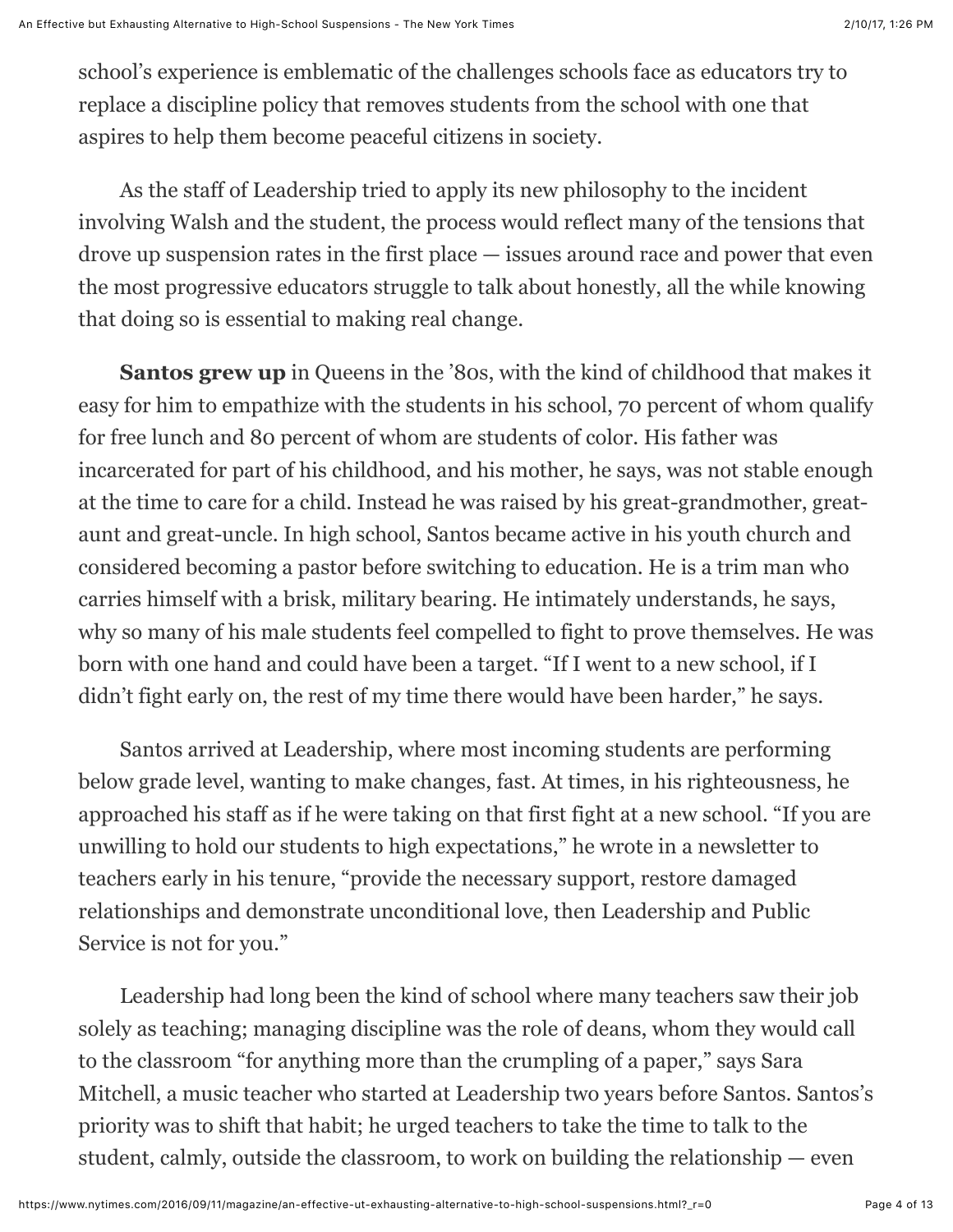school's experience is emblematic of the challenges schools face as educators try to replace a discipline policy that removes students from the school with one that aspires to help them become peaceful citizens in society.

As the staff of Leadership tried to apply its new philosophy to the incident involving Walsh and the student, the process would reflect many of the tensions that drove up suspension rates in the first place — issues around race and power that even the most progressive educators struggle to talk about honestly, all the while knowing that doing so is essential to making real change.

**Santos grew up** in Queens in the '80s, with the kind of childhood that makes it easy for him to empathize with the students in his school, 70 percent of whom qualify for free lunch and 80 percent of whom are students of color. His father was incarcerated for part of his childhood, and his mother, he says, was not stable enough at the time to care for a child. Instead he was raised by his great-grandmother, greataunt and great-uncle. In high school, Santos became active in his youth church and considered becoming a pastor before switching to education. He is a trim man who carries himself with a brisk, military bearing. He intimately understands, he says, why so many of his male students feel compelled to fight to prove themselves. He was born with one hand and could have been a target. "If I went to a new school, if I didn't fight early on, the rest of my time there would have been harder," he says.

Santos arrived at Leadership, where most incoming students are performing below grade level, wanting to make changes, fast. At times, in his righteousness, he approached his staff as if he were taking on that first fight at a new school. "If you are unwilling to hold our students to high expectations," he wrote in a newsletter to teachers early in his tenure, "provide the necessary support, restore damaged relationships and demonstrate unconditional love, then Leadership and Public Service is not for you."

Leadership had long been the kind of school where many teachers saw their job solely as teaching; managing discipline was the role of deans, whom they would call to the classroom "for anything more than the crumpling of a paper," says Sara Mitchell, a music teacher who started at Leadership two years before Santos. Santos's priority was to shift that habit; he urged teachers to take the time to talk to the student, calmly, outside the classroom, to work on building the relationship — even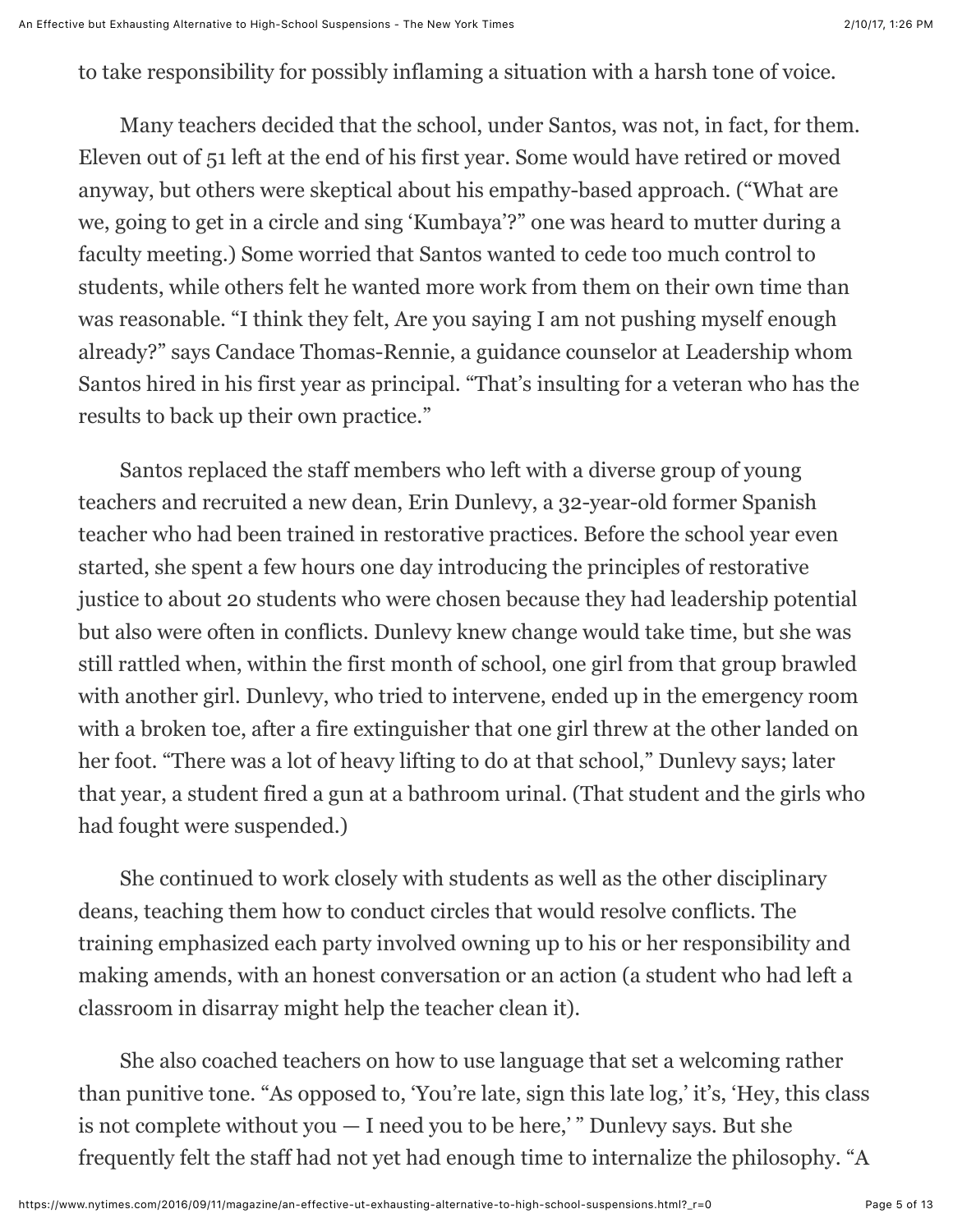to take responsibility for possibly inflaming a situation with a harsh tone of voice.

Many teachers decided that the school, under Santos, was not, in fact, for them. Eleven out of 51 left at the end of his first year. Some would have retired or moved anyway, but others were skeptical about his empathy-based approach. ("What are we, going to get in a circle and sing 'Kumbaya'?" one was heard to mutter during a faculty meeting.) Some worried that Santos wanted to cede too much control to students, while others felt he wanted more work from them on their own time than was reasonable. "I think they felt, Are you saying I am not pushing myself enough already?" says Candace Thomas-Rennie, a guidance counselor at Leadership whom Santos hired in his first year as principal. "That's insulting for a veteran who has the results to back up their own practice."

Santos replaced the staff members who left with a diverse group of young teachers and recruited a new dean, Erin Dunlevy, a 32-year-old former Spanish teacher who had been trained in restorative practices. Before the school year even started, she spent a few hours one day introducing the principles of restorative justice to about 20 students who were chosen because they had leadership potential but also were often in conflicts. Dunlevy knew change would take time, but she was still rattled when, within the first month of school, one girl from that group brawled with another girl. Dunlevy, who tried to intervene, ended up in the emergency room with a broken toe, after a fire extinguisher that one girl threw at the other landed on her foot. "There was a lot of heavy lifting to do at that school," Dunlevy says; later that year, a student fired a gun at a bathroom urinal. (That student and the girls who had fought were suspended.)

She continued to work closely with students as well as the other disciplinary deans, teaching them how to conduct circles that would resolve conflicts. The training emphasized each party involved owning up to his or her responsibility and making amends, with an honest conversation or an action (a student who had left a classroom in disarray might help the teacher clean it).

She also coached teachers on how to use language that set a welcoming rather than punitive tone. "As opposed to, 'You're late, sign this late log,' it's, 'Hey, this class is not complete without you  $-1$  need you to be here,'" Dunlevy says. But she frequently felt the staff had not yet had enough time to internalize the philosophy. "A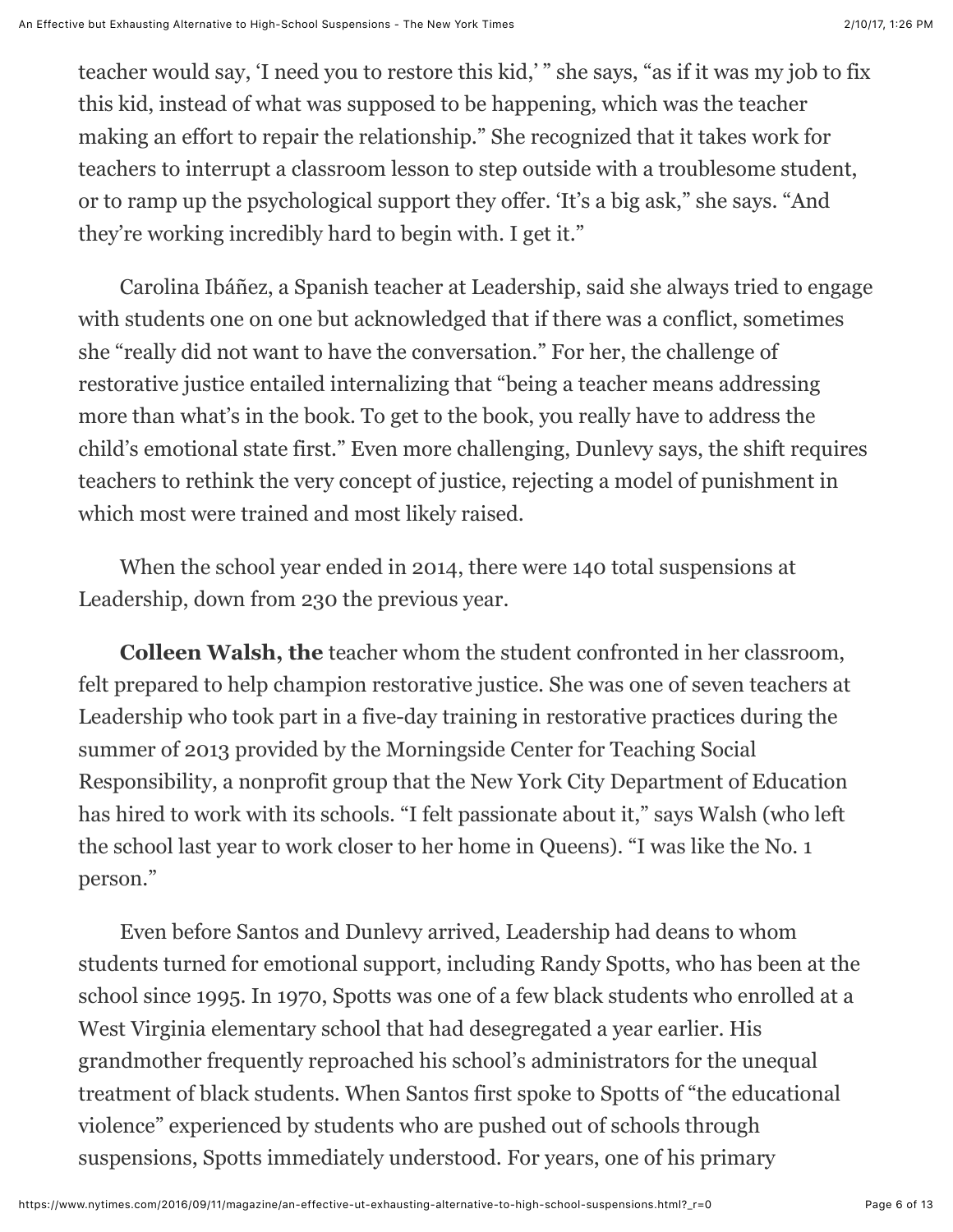teacher would say, 'I need you to restore this kid,' " she says, "as if it was my job to fix this kid, instead of what was supposed to be happening, which was the teacher making an effort to repair the relationship." She recognized that it takes work for teachers to interrupt a classroom lesson to step outside with a troublesome student, or to ramp up the psychological support they offer. 'It's a big ask," she says. "And they're working incredibly hard to begin with. I get it."

Carolina Ibáñez, a Spanish teacher at Leadership, said she always tried to engage with students one on one but acknowledged that if there was a conflict, sometimes she "really did not want to have the conversation." For her, the challenge of restorative justice entailed internalizing that "being a teacher means addressing more than what's in the book. To get to the book, you really have to address the child's emotional state first." Even more challenging, Dunlevy says, the shift requires teachers to rethink the very concept of justice, rejecting a model of punishment in which most were trained and most likely raised.

When the school year ended in 2014, there were 140 total suspensions at Leadership, down from 230 the previous year.

**Colleen Walsh, the** teacher whom the student confronted in her classroom, felt prepared to help champion restorative justice. She was one of seven teachers at Leadership who took part in a five-day training in restorative practices during the summer of 2013 provided by the Morningside Center for Teaching Social Responsibility, a nonprofit group that the New York City Department of Education has hired to work with its schools. "I felt passionate about it," says Walsh (who left the school last year to work closer to her home in Queens). "I was like the No. 1 person."

Even before Santos and Dunlevy arrived, Leadership had deans to whom students turned for emotional support, including Randy Spotts, who has been at the school since 1995. In 1970, Spotts was one of a few black students who enrolled at a West Virginia elementary school that had desegregated a year earlier. His grandmother frequently reproached his school's administrators for the unequal treatment of black students. When Santos first spoke to Spotts of "the educational violence" experienced by students who are pushed out of schools through suspensions, Spotts immediately understood. For years, one of his primary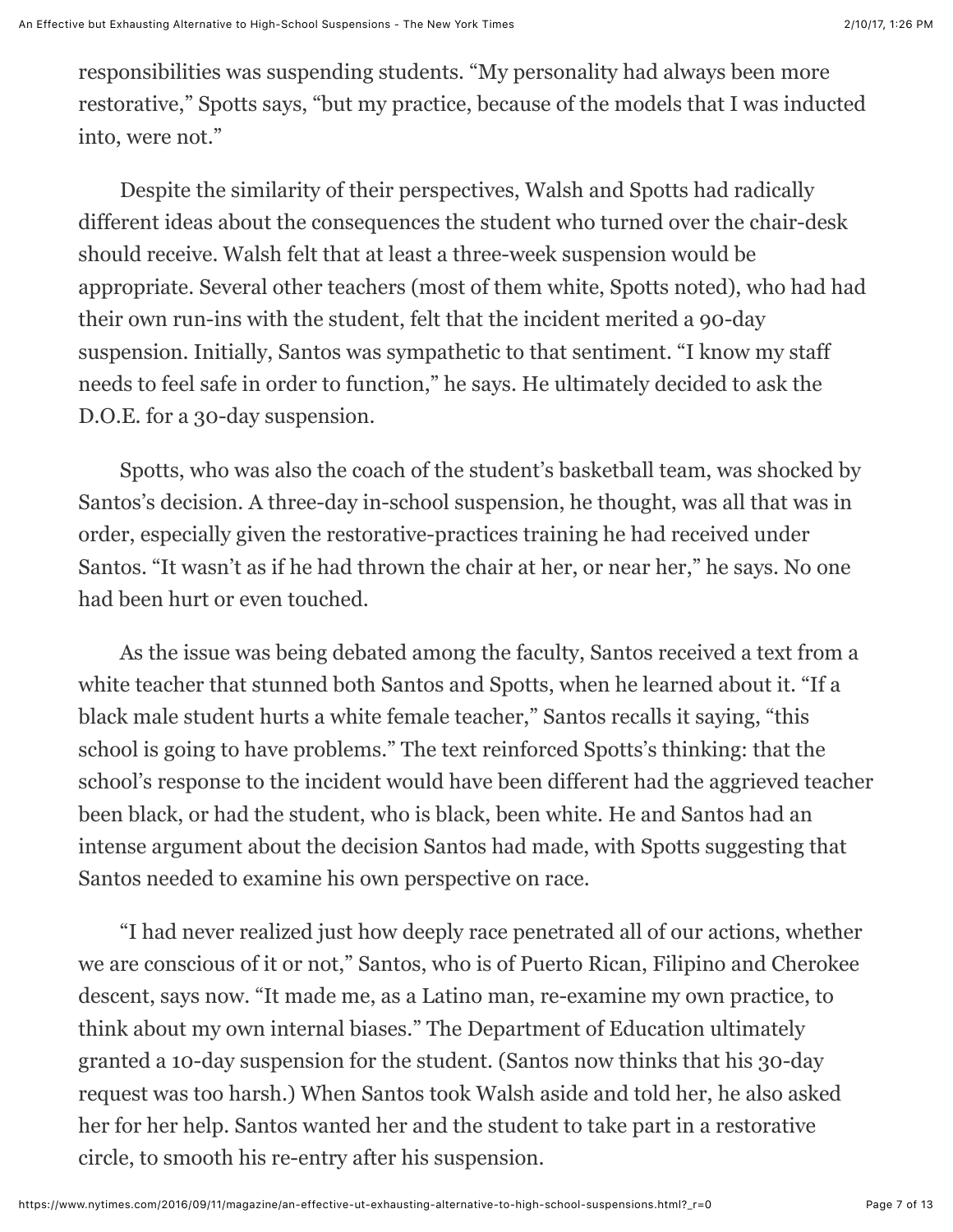responsibilities was suspending students. "My personality had always been more restorative," Spotts says, "but my practice, because of the models that I was inducted into, were not."

Despite the similarity of their perspectives, Walsh and Spotts had radically different ideas about the consequences the student who turned over the chair-desk should receive. Walsh felt that at least a three-week suspension would be appropriate. Several other teachers (most of them white, Spotts noted), who had had their own run-ins with the student, felt that the incident merited a 90-day suspension. Initially, Santos was sympathetic to that sentiment. "I know my staff needs to feel safe in order to function," he says. He ultimately decided to ask the D.O.E. for a 30-day suspension.

Spotts, who was also the coach of the student's basketball team, was shocked by Santos's decision. A three-day in-school suspension, he thought, was all that was in order, especially given the restorative-practices training he had received under Santos. "It wasn't as if he had thrown the chair at her, or near her," he says. No one had been hurt or even touched.

As the issue was being debated among the faculty, Santos received a text from a white teacher that stunned both Santos and Spotts, when he learned about it. "If a black male student hurts a white female teacher," Santos recalls it saying, "this school is going to have problems." The text reinforced Spotts's thinking: that the school's response to the incident would have been different had the aggrieved teacher been black, or had the student, who is black, been white. He and Santos had an intense argument about the decision Santos had made, with Spotts suggesting that Santos needed to examine his own perspective on race.

"I had never realized just how deeply race penetrated all of our actions, whether we are conscious of it or not," Santos, who is of Puerto Rican, Filipino and Cherokee descent, says now. "It made me, as a Latino man, re-examine my own practice, to think about my own internal biases." The Department of Education ultimately granted a 10-day suspension for the student. (Santos now thinks that his 30-day request was too harsh.) When Santos took Walsh aside and told her, he also asked her for her help. Santos wanted her and the student to take part in a restorative circle, to smooth his re-entry after his suspension.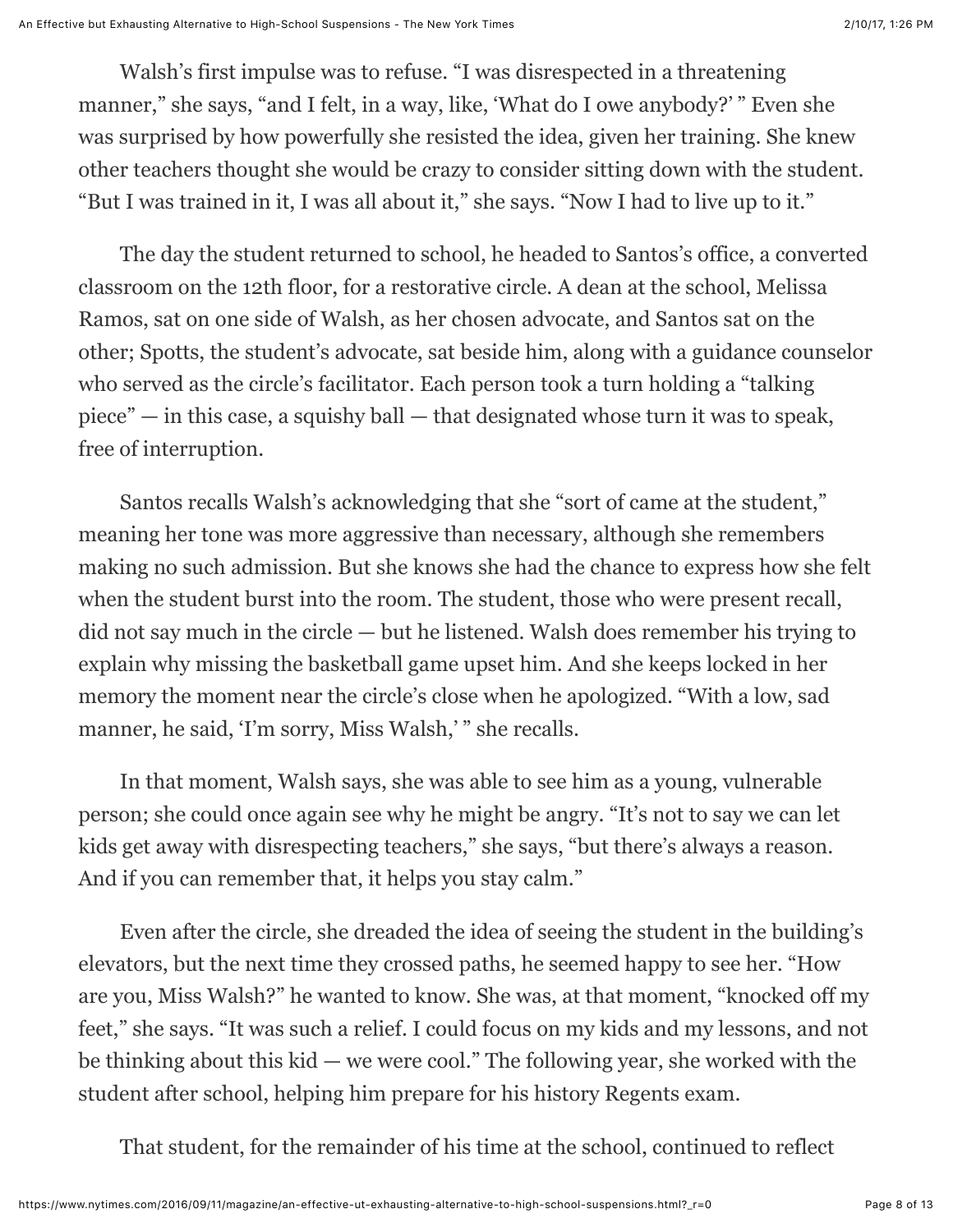Walsh's first impulse was to refuse. "I was disrespected in a threatening manner," she says, "and I felt, in a way, like, 'What do I owe anybody?' " Even she was surprised by how powerfully she resisted the idea, given her training. She knew other teachers thought she would be crazy to consider sitting down with the student. "But I was trained in it, I was all about it," she says. "Now I had to live up to it."

The day the student returned to school, he headed to Santos's office, a converted classroom on the 12th floor, for a restorative circle. A dean at the school, Melissa Ramos, sat on one side of Walsh, as her chosen advocate, and Santos sat on the other; Spotts, the student's advocate, sat beside him, along with a guidance counselor who served as the circle's facilitator. Each person took a turn holding a "talking piece" — in this case, a squishy ball — that designated whose turn it was to speak, free of interruption.

Santos recalls Walsh's acknowledging that she "sort of came at the student," meaning her tone was more aggressive than necessary, although she remembers making no such admission. But she knows she had the chance to express how she felt when the student burst into the room. The student, those who were present recall, did not say much in the circle — but he listened. Walsh does remember his trying to explain why missing the basketball game upset him. And she keeps locked in her memory the moment near the circle's close when he apologized. "With a low, sad manner, he said, 'I'm sorry, Miss Walsh,'" she recalls.

In that moment, Walsh says, she was able to see him as a young, vulnerable person; she could once again see why he might be angry. "It's not to say we can let kids get away with disrespecting teachers," she says, "but there's always a reason. And if you can remember that, it helps you stay calm."

Even after the circle, she dreaded the idea of seeing the student in the building's elevators, but the next time they crossed paths, he seemed happy to see her. "How are you, Miss Walsh?" he wanted to know. She was, at that moment, "knocked off my feet," she says. "It was such a relief. I could focus on my kids and my lessons, and not be thinking about this kid — we were cool." The following year, she worked with the student after school, helping him prepare for his history Regents exam.

That student, for the remainder of his time at the school, continued to reflect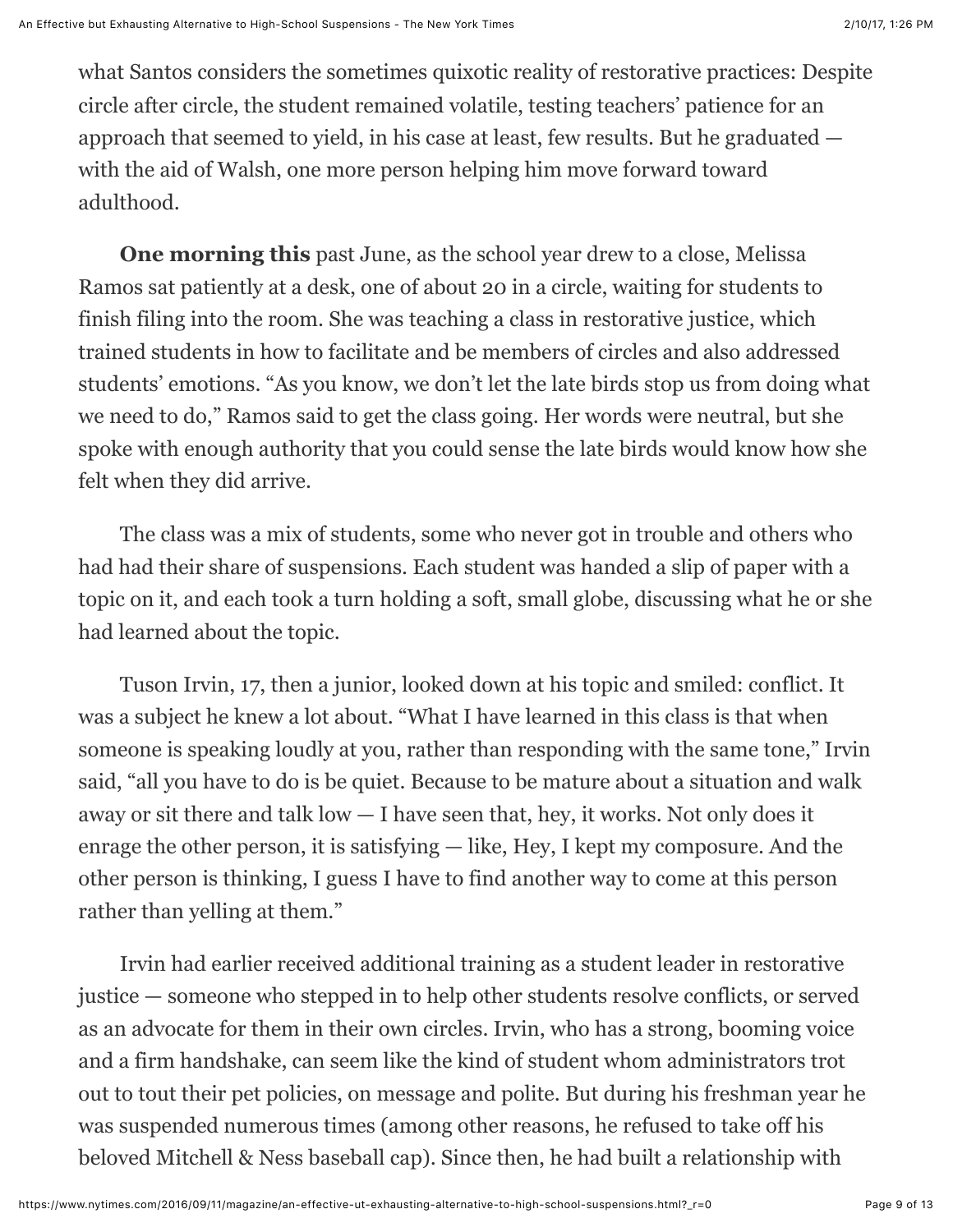what Santos considers the sometimes quixotic reality of restorative practices: Despite circle after circle, the student remained volatile, testing teachers' patience for an approach that seemed to yield, in his case at least, few results. But he graduated with the aid of Walsh, one more person helping him move forward toward adulthood.

**One morning this** past June, as the school year drew to a close, Melissa Ramos sat patiently at a desk, one of about 20 in a circle, waiting for students to finish filing into the room. She was teaching a class in restorative justice, which trained students in how to facilitate and be members of circles and also addressed students' emotions. "As you know, we don't let the late birds stop us from doing what we need to do," Ramos said to get the class going. Her words were neutral, but she spoke with enough authority that you could sense the late birds would know how she felt when they did arrive.

The class was a mix of students, some who never got in trouble and others who had had their share of suspensions. Each student was handed a slip of paper with a topic on it, and each took a turn holding a soft, small globe, discussing what he or she had learned about the topic.

Tuson Irvin, 17, then a junior, looked down at his topic and smiled: conflict. It was a subject he knew a lot about. "What I have learned in this class is that when someone is speaking loudly at you, rather than responding with the same tone," Irvin said, "all you have to do is be quiet. Because to be mature about a situation and walk away or sit there and talk low — I have seen that, hey, it works. Not only does it enrage the other person, it is satisfying — like, Hey, I kept my composure. And the other person is thinking, I guess I have to find another way to come at this person rather than yelling at them."

Irvin had earlier received additional training as a student leader in restorative justice — someone who stepped in to help other students resolve conflicts, or served as an advocate for them in their own circles. Irvin, who has a strong, booming voice and a firm handshake, can seem like the kind of student whom administrators trot out to tout their pet policies, on message and polite. But during his freshman year he was suspended numerous times (among other reasons, he refused to take off his beloved Mitchell & Ness baseball cap). Since then, he had built a relationship with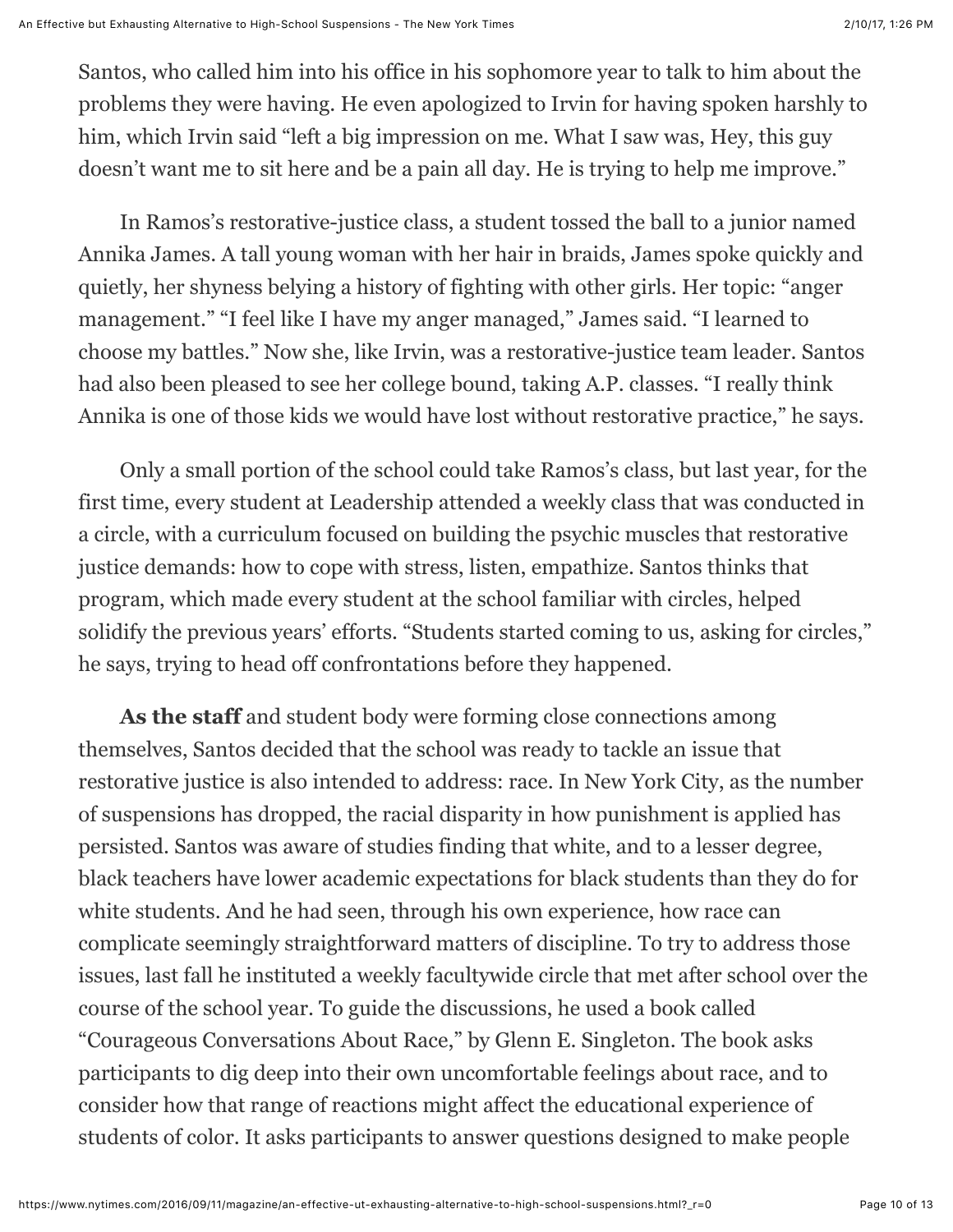Santos, who called him into his office in his sophomore year to talk to him about the problems they were having. He even apologized to Irvin for having spoken harshly to him, which Irvin said "left a big impression on me. What I saw was, Hey, this guy doesn't want me to sit here and be a pain all day. He is trying to help me improve."

In Ramos's restorative-justice class, a student tossed the ball to a junior named Annika James. A tall young woman with her hair in braids, James spoke quickly and quietly, her shyness belying a history of fighting with other girls. Her topic: "anger management." "I feel like I have my anger managed," James said. "I learned to choose my battles." Now she, like Irvin, was a restorative-justice team leader. Santos had also been pleased to see her college bound, taking A.P. classes. "I really think Annika is one of those kids we would have lost without restorative practice," he says.

Only a small portion of the school could take Ramos's class, but last year, for the first time, every student at Leadership attended a weekly class that was conducted in a circle, with a curriculum focused on building the psychic muscles that restorative justice demands: how to cope with stress, listen, empathize. Santos thinks that program, which made every student at the school familiar with circles, helped solidify the previous years' efforts. "Students started coming to us, asking for circles," he says, trying to head off confrontations before they happened.

**As the staff** and student body were forming close connections among themselves, Santos decided that the school was ready to tackle an issue that restorative justice is also intended to address: race. In New York City, as the number of suspensions has dropped, the racial disparity in how punishment is applied has persisted. Santos was aware of studies finding that white, and to a lesser degree, black teachers have lower academic expectations for black students than they do for white students. And he had seen, through his own experience, how race can complicate seemingly straightforward matters of discipline. To try to address those issues, last fall he instituted a weekly facultywide circle that met after school over the course of the school year. To guide the discussions, he used a book called "Courageous Conversations About Race," by Glenn E. Singleton. The book asks participants to dig deep into their own uncomfortable feelings about race, and to consider how that range of reactions might affect the educational experience of students of color. It asks participants to answer questions designed to make people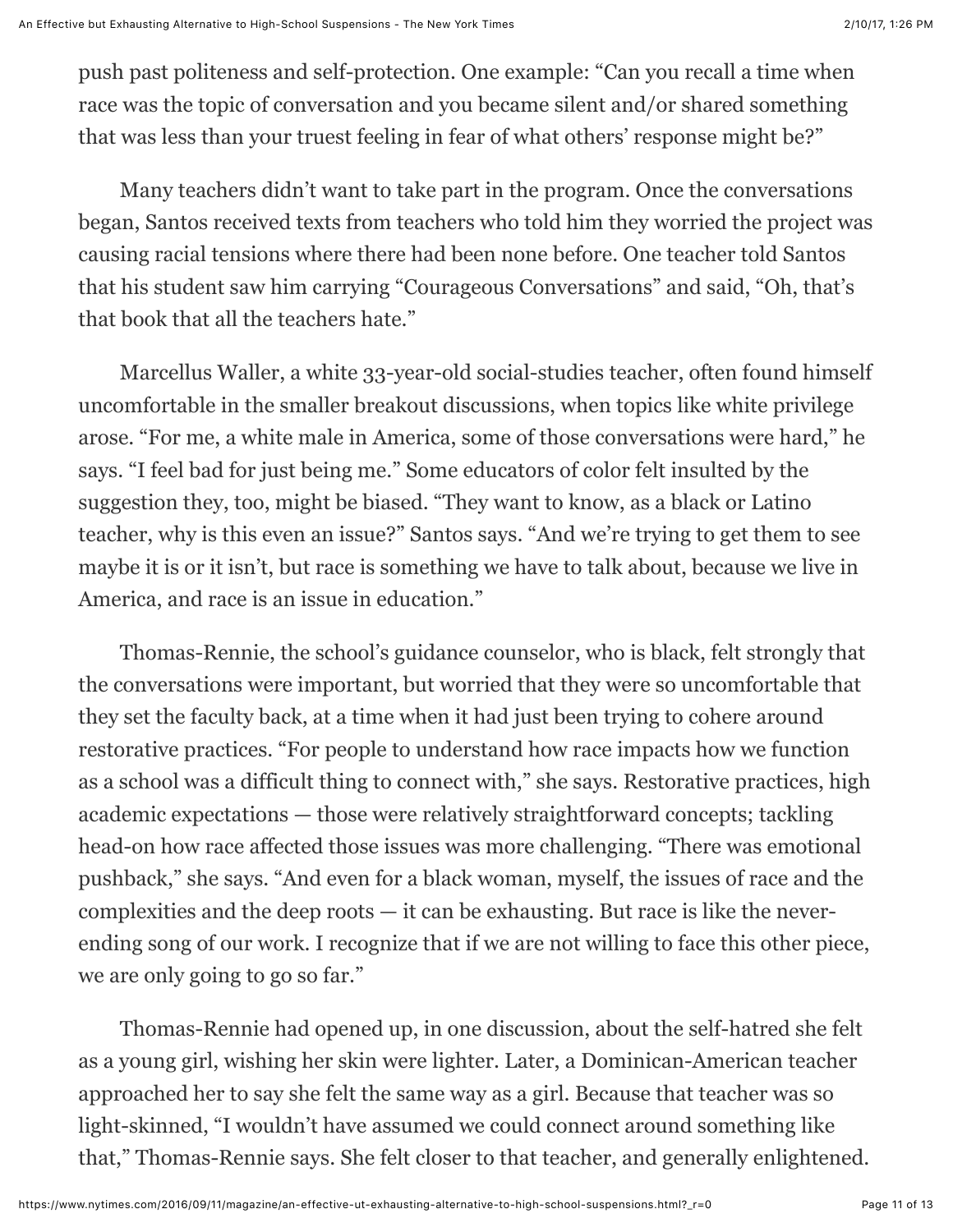push past politeness and self-protection. One example: "Can you recall a time when race was the topic of conversation and you became silent and/or shared something that was less than your truest feeling in fear of what others' response might be?"

Many teachers didn't want to take part in the program. Once the conversations began, Santos received texts from teachers who told him they worried the project was causing racial tensions where there had been none before. One teacher told Santos that his student saw him carrying "Courageous Conversations" and said, "Oh, that's that book that all the teachers hate."

Marcellus Waller, a white 33-year-old social-studies teacher, often found himself uncomfortable in the smaller breakout discussions, when topics like white privilege arose. "For me, a white male in America, some of those conversations were hard," he says. "I feel bad for just being me." Some educators of color felt insulted by the suggestion they, too, might be biased. "They want to know, as a black or Latino teacher, why is this even an issue?" Santos says. "And we're trying to get them to see maybe it is or it isn't, but race is something we have to talk about, because we live in America, and race is an issue in education."

Thomas-Rennie, the school's guidance counselor, who is black, felt strongly that the conversations were important, but worried that they were so uncomfortable that they set the faculty back, at a time when it had just been trying to cohere around restorative practices. "For people to understand how race impacts how we function as a school was a difficult thing to connect with," she says. Restorative practices, high academic expectations — those were relatively straightforward concepts; tackling head-on how race affected those issues was more challenging. "There was emotional pushback," she says. "And even for a black woman, myself, the issues of race and the complexities and the deep roots  $-$  it can be exhausting. But race is like the neverending song of our work. I recognize that if we are not willing to face this other piece, we are only going to go so far."

Thomas-Rennie had opened up, in one discussion, about the self-hatred she felt as a young girl, wishing her skin were lighter. Later, a Dominican-American teacher approached her to say she felt the same way as a girl. Because that teacher was so light-skinned, "I wouldn't have assumed we could connect around something like that," Thomas-Rennie says. She felt closer to that teacher, and generally enlightened.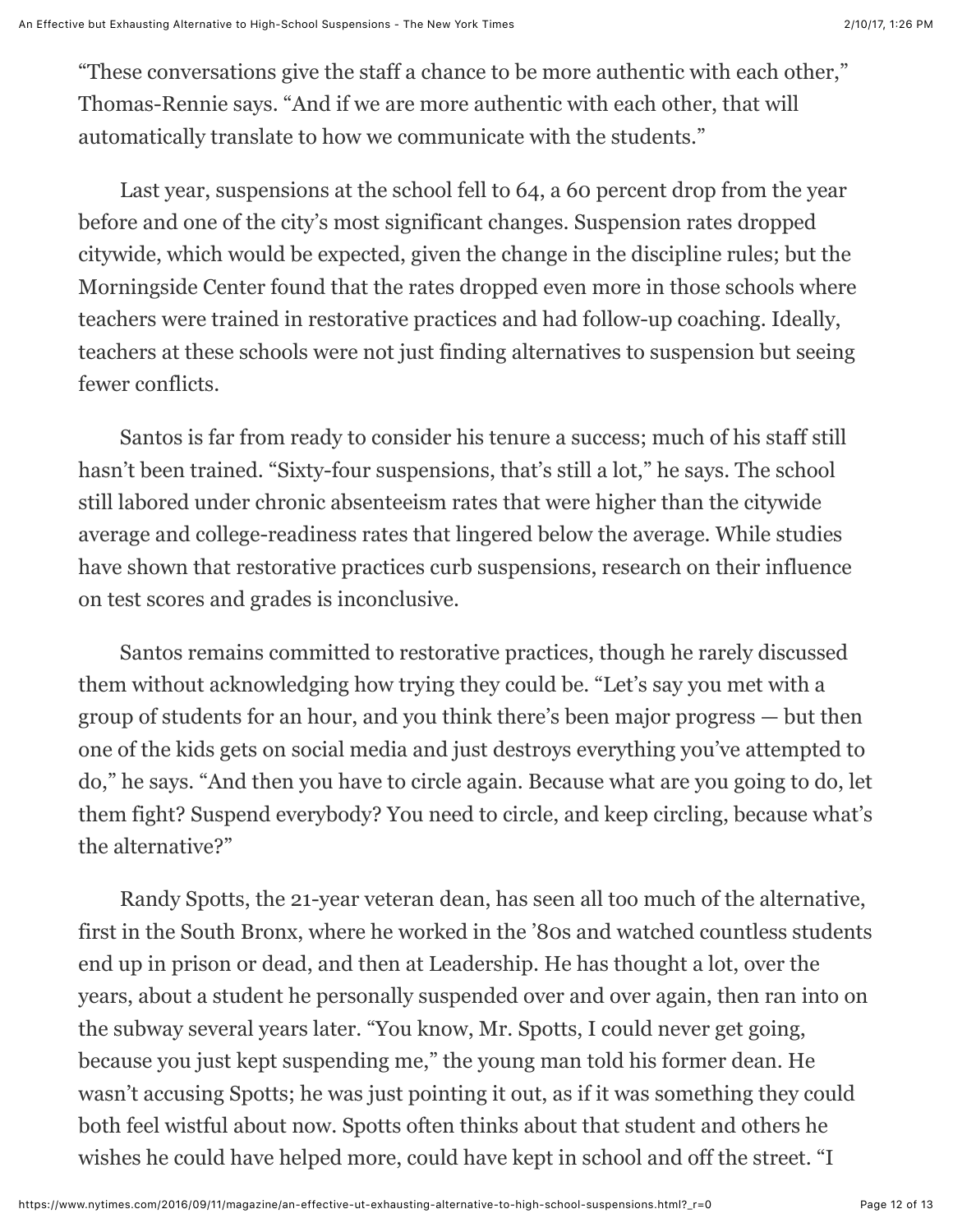"These conversations give the staff a chance to be more authentic with each other," Thomas-Rennie says. "And if we are more authentic with each other, that will automatically translate to how we communicate with the students."

Last year, suspensions at the school fell to 64, a 60 percent drop from the year before and one of the city's most significant changes. Suspension rates dropped citywide, which would be expected, given the change in the discipline rules; but the Morningside Center found that the rates dropped even more in those schools where teachers were trained in restorative practices and had follow-up coaching. Ideally, teachers at these schools were not just finding alternatives to suspension but seeing fewer conflicts.

Santos is far from ready to consider his tenure a success; much of his staff still hasn't been trained. "Sixty-four suspensions, that's still a lot," he says. The school still labored under chronic absenteeism rates that were higher than the citywide average and college-readiness rates that lingered below the average. While studies have shown that restorative practices curb suspensions, research on their influence on test scores and grades is inconclusive.

Santos remains committed to restorative practices, though he rarely discussed them without acknowledging how trying they could be. "Let's say you met with a group of students for an hour, and you think there's been major progress — but then one of the kids gets on social media and just destroys everything you've attempted to do," he says. "And then you have to circle again. Because what are you going to do, let them fight? Suspend everybody? You need to circle, and keep circling, because what's the alternative?"

Randy Spotts, the 21-year veteran dean, has seen all too much of the alternative, first in the South Bronx, where he worked in the '80s and watched countless students end up in prison or dead, and then at Leadership. He has thought a lot, over the years, about a student he personally suspended over and over again, then ran into on the subway several years later. "You know, Mr. Spotts, I could never get going, because you just kept suspending me," the young man told his former dean. He wasn't accusing Spotts; he was just pointing it out, as if it was something they could both feel wistful about now. Spotts often thinks about that student and others he wishes he could have helped more, could have kept in school and off the street. "I